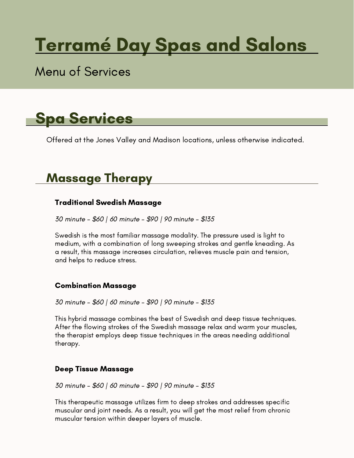# Terramé Day Spas and Salons

### Menu of Services



Offered at the Jones Valley and Madison locations, unless otherwise indicated.

### Massage Therapy

### Traditional Swedish Massage

30 minute – \$60 | 60 minute – \$90 | 90 minute – \$135

Swedish is the most familiar massage modality. The pressure used is light to medium, with a combination of long sweeping strokes and gentle kneading. As a result, this massage increases circulation, relieves muscle pain and tension, and helps to reduce stress.

### Combination Massage

30 minute – \$60 | 60 minute – \$90 | 90 minute – \$135

This hybrid massage combines the best of Swedish and deep tissue techniques. After the flowing strokes of the Swedish massage relax and warm your muscles, the therapist employs deep tissue techniques in the areas needing additional therapy.

### Deep Tissue Massage

30 minute – \$60 | 60 minute – \$90 | 90 minute – \$135

This therapeutic massage utilizes firm to deep strokes and addresses specific muscular and joint needs. As a result, you will get the most relief from chronic muscular tension within deeper layers of muscle.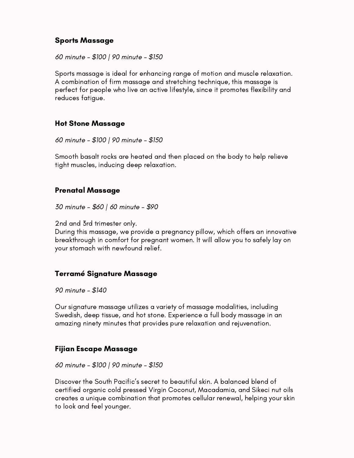### Sports Massage

60 minute – \$100 | 90 minute – \$150

Sports massage is ideal for enhancing range of motion and muscle relaxation. A combination of firm massage and stretching technique, this massage is perfect for people who live an active lifestyle, since it promotes flexibility and reduces fatigue.

#### Hot Stone Massage

60 minute – \$100 | 90 minute – \$150

Smooth basalt rocks are heated and then placed on the body to help relieve tight muscles, inducing deep relaxation.

#### Prenatal Massage

30 minute – \$60 | 60 minute – \$90

2nd and 3rd trimester only.

During this massage, we provide a pregnancy pillow, which offers an innovative breakthrough in comfort for pregnant women. It will allow you to safely lay on your stomach with newfound relief.

### Terramé Signature Massage

90 minute – \$140

Our signature massage utilizes a variety of massage modalities, including Swedish, deep tissue, and hot stone. Experience a full body massage in an amazing ninety minutes that provides pure relaxation and rejuvenation.

### Fijian Escape Massage

60 minute – \$100 | 90 minute – \$150

Discover the South Pacific's secret to beautiful skin. A balanced blend of certified organic cold pressed Virgin Coconut, Macadamia, and Sikeci nut oils creates a unique combination that promotes cellular renewal, helping your skin to look and feel younger.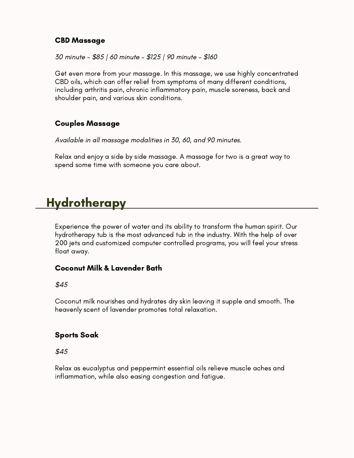#### CBD Massage

30 minute – \$85 | 60 minute – \$125 | 90 minute – \$160

Get even more from your massage. In this massage, we use highly concentrated CBD oils, which can offer relief from symptoms of many different conditions, including arthritis pain, chronic inflammatory pain, muscle soreness, back and shoulder pain, and various skin conditions.

### Couples Massage

Available in all massage modalities in 30, 60, and 90 minutes.

Relax and enjoy a side by side massage. A massage for two is a great way to spend some time with someone you care about.

### **Hydrotherapy**

Experience the power of water and its ability to transform the human spirit. Our hydrotherapy tub is the most advanced tub in the industry. With the help of over 200 jets and customized computer controlled programs, you will feel your stress float away.

### Coconut Milk & Lavender Bath

\$45

Coconut milk nourishes and hydrates dry skin leaving it supple and smooth. The heavenly scent of lavender promotes total relaxation.

### Sports Soak

\$45

Relax as eucalyptus and peppermint essential oils relieve muscle aches and inflammation, while also easing congestion and fatigue.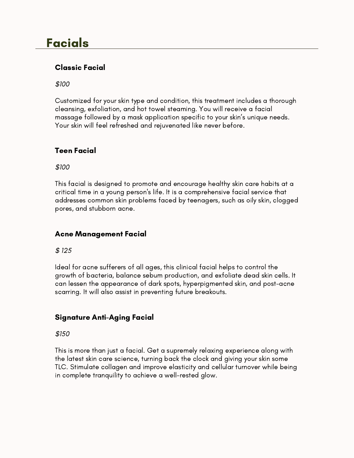### Facials

### Classic Facial

\$100

Customized for your skin type and condition, this treatment includes a thorough cleansing, exfoliation, and hot towel steaming. You will receive a facial massage followed by a mask application specific to your skin's unique needs. Your skin will feel refreshed and rejuvenated like never before.

### Teen Facial

\$100

This facial is designed to promote and encourage healthy skin care habits at a critical time in a young person's life. It is a comprehensive facial service that addresses common skin problems faced by teenagers, such as oily skin, clogged pores, and stubborn acne.

### Acne Management Facial

\$ 125

Ideal for acne sufferers of all ages, this clinical facial helps to control the growth of bacteria, balance sebum production, and exfoliate dead skin cells. It can lessen the appearance of dark spots, hyperpigmented skin, and post-acne scarring. It will also assist in preventing future breakouts.

### Signature Anti-Aging Facial

\$150

This is more than just a facial. Get a supremely relaxing experience along with the latest skin care science, turning back the clock and giving your skin some TLC. Stimulate collagen and improve elasticity and cellular turnover while being in complete tranquility to achieve a well-rested glow.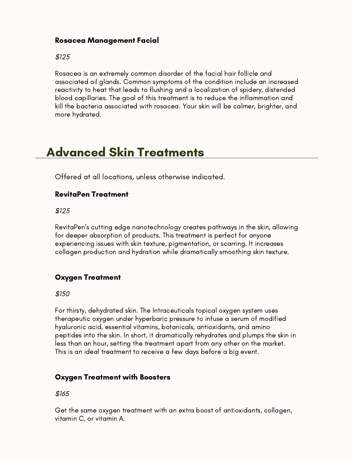#### Rosacea Management Facial

\$125

Rosacea is an extremely common disorder of the facial hair follicle and associated oil glands. Common symptoms of the condition include an increased reactivity to heat that leads to flushing and a localization of spidery, distended blood capillaries. The goal of this treatment is to reduce the inflammation and kill the bacteria associated with rosacea. Your skin will be calmer, brighter, and more hydrated.

### Advanced Skin Treatments

Offered at all locations, unless otherwise indicated.

#### RevitaPen Treatment

\$125

RevitaPen's cutting edge nanotechnology creates pathways in the skin, allowing for deeper absorption of products. This treatment is perfect for anyone experiencing issues with skin texture, pigmentation, or scarring. It increases collagen production and hydration while dramatically smoothing skin texture.

### Oxygen Treatment

\$150

For thirsty, dehydrated skin. The Intraceuticals topical oxygen system uses therapeutic oxygen under hyperbaric pressure to infuse a serum of modified hyaluronic acid, essential vitamins, botanicals, antioxidants, and amino peptides into the skin. In short, it dramatically rehydrates and plumps the skin in less than an hour, setting the treatment apart from any other on the market. This is an ideal treatment to receive a few days before a big event.

### Oxygen Treatment with Boosters

\$165

Get the same oxygen treatment with an extra boost of antioxidants, collagen, vitamin C, or vitamin A.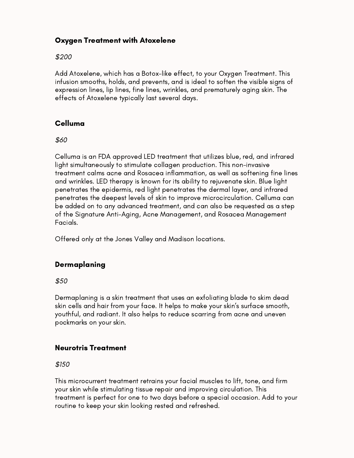### Oxygen Treatment with Atoxelene

#### \$200

Add Atoxelene, which has a Botox-like effect, to your Oxygen Treatment. This infusion smooths, holds, and prevents, and is ideal to soften the visible signs of expression lines, lip lines, fine lines, wrinkles, and prematurely aging skin. The effects of Atoxelene typically last several days.

### Celluma

#### \$60

Celluma is an FDA approved LED treatment that utilizes blue, red, and infrared light simultaneously to stimulate collagen production. This non-invasive treatment calms acne and Rosacea inflammation, as well as softening fine lines and wrinkles. LED therapy is known for its ability to rejuvenate skin. Blue light penetrates the epidermis, red light penetrates the dermal layer, and infrared penetrates the deepest levels of skin to improve microcirculation. Celluma can be added on to any advanced treatment, and can also be requested as a step of the Signature Anti-Aging, Acne Management, and Rosacea Management Facials.

Offered only at the Jones Valley and Madison locations.

### **Dermaplaning**

 $$50$ 

Dermaplaning is a skin treatment that uses an exfoliating blade to skim dead skin cells and hair from your face. It helps to make your skin's surface smooth, youthful, and radiant. It also helps to reduce scarring from acne and uneven pockmarks on your skin.

### Neurotris Treatment

\$150

This microcurrent treatment retrains your facial muscles to lift, tone, and firm your skin while stimulating tissue repair and improving circulation. This treatment is perfect for one to two days before a special occasion. Add to your routine to keep your skin looking rested and refreshed.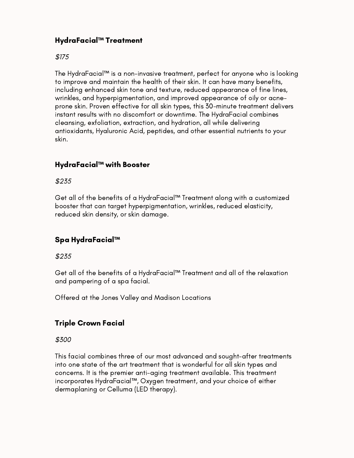### HydraFacial™ Treatment

### \$175

The HydraFacial™ is a non-invasive treatment, perfect for anyone who is looking to improve and maintain the health of their skin. It can have many benefits, including enhanced skin tone and texture, reduced appearance of fine lines, wrinkles, and hyperpigmentation, and improved appearance of oily or acneprone skin. Proven effective for all skin types, this 30-minute treatment delivers instant results with no discomfort or downtime. The HydraFacial combines cleansing, exfoliation, extraction, and hydration, all while delivering antioxidants, Hyaluronic Acid, peptides, and other essential nutrients to your skin.

### HydraFacial™ with Booster

#### \$235

Get all of the benefits of a HydraFacial™ Treatment along with a customized booster that can target hyperpigmentation, wrinkles, reduced elasticity, reduced skin density, or skin damage.

### Spa HydraFacial™

#### \$235

Get all of the benefits of a HydraFacial™ Treatment and all of the relaxation and pampering of a spa facial.

Offered at the Jones Valley and Madison Locations

### Triple Crown Facial

#### \$300

This facial combines three of our most advanced and sought-after treatments into one state of the art treatment that is wonderful for all skin types and concerns. It is the premier anti-aging treatment available. This treatment incorporates HydraFacial™, Oxygen treatment, and your choice of either dermaplaning or Celluma (LED therapy).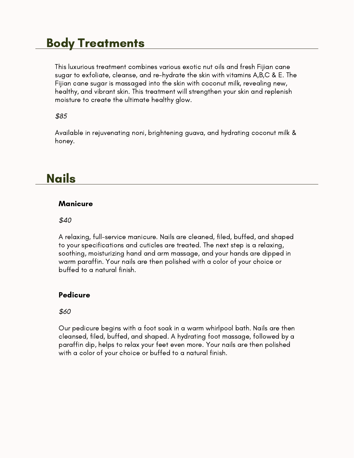### Body Treatments

This luxurious treatment combines various exotic nut oils and fresh Fijian cane sugar to exfoliate, cleanse, and re-hydrate the skin with vitamins A,B,C & E. The Fijian cane sugar is massaged into the skin with coconut milk, revealing new, healthy, and vibrant skin. This treatment will strengthen your skin and replenish moisture to create the ultimate healthy glow.

#### \$85

Available in rejuvenating noni, brightening guava, and hydrating coconut milk & honey.

### Nails

#### **Manicure**

#### \$40

A relaxing, full-service manicure. Nails are cleaned, filed, buffed, and shaped to your specifications and cuticles are treated. The next step is a relaxing, soothing, moisturizing hand and arm massage, and your hands are dipped in warm paraffin. Your nails are then polished with a color of your choice or buffed to a natural finish.

### Pedicure

#### \$60

Our pedicure begins with a foot soak in a warm whirlpool bath. Nails are then cleansed, filed, buffed, and shaped. A hydrating foot massage, followed by a paraffin dip, helps to relax your feet even more. Your nails are then polished with a color of your choice or buffed to a natural finish.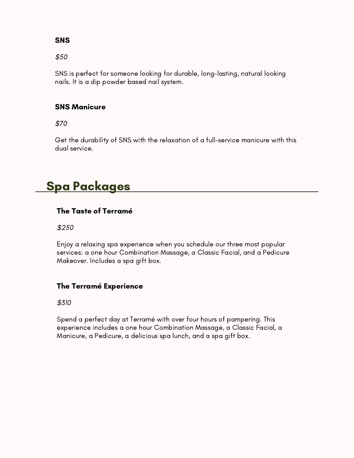### **SNS**

\$50

SNS is perfect for someone looking for durable, long-lasting, natural looking nails. It is a dip powder based nail system.

### SNS Manicure

\$70

Get the durability of SNS with the relaxation of a full-service manicure with this dual service.

### Spa Packages

### The Taste of Terramé

\$250

Enjoy a relaxing spa experience when you schedule our three most popular services: a one hour Combination Massage, a Classic Facial, and a Pedicure Makeover. Includes a spa gift box.

### The Terramé Experience

\$310

Spend a perfect day at Terramé with over four hours of pampering. This experience includes a one hour Combination Massage, a Classic Facial, a Manicure, a Pedicure, a delicious spa lunch, and a spa gift box.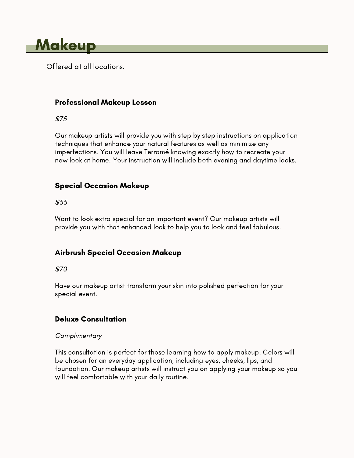

Offered at all locations.

### Professional Makeup Lesson

\$75

Our makeup artists will provide you with step by step instructions on application techniques that enhance your natural features as well as minimize any imperfections. You will leave Terramé knowing exactly how to recreate your new look at home. Your instruction will include both evening and daytime looks.

### Special Occasion Makeup

\$55

Want to look extra special for an important event? Our makeup artists will provide you with that enhanced look to help you to look and feel fabulous.

### Airbrush Special Occasion Makeup

\$70

Have our makeup artist transform your skin into polished perfection for your special event.

### Deluxe Consultation

#### **Complimentary**

This consultation is perfect for those learning how to apply makeup. Colors will be chosen for an everyday application, including eyes, cheeks, lips, and foundation. Our makeup artists will instruct you on applying your makeup so you will feel comfortable with your daily routine.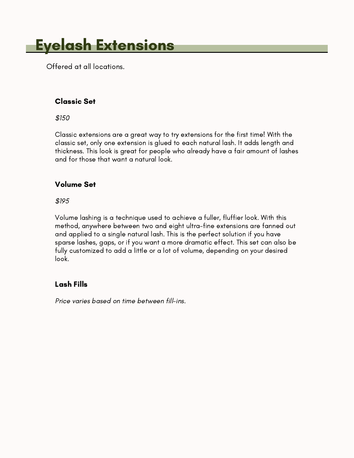# Eyelash Extensions

Offered at all locations.

### Classic Set

\$150

Classic extensions are a great way to try extensions for the first time! With the classic set, only one extension is glued to each natural lash. It adds length and thickness. This look is great for people who already have a fair amount of lashes and for those that want a natural look.

### Volume Set

\$195

Volume lashing is a technique used to achieve a fuller, fluffier look. With this method, anywhere between two and eight ultra-fine extensions are fanned out and applied to a single natural lash. This is the perfect solution if you have sparse lashes, gaps, or if you want a more dramatic effect. This set can also be fully customized to add a little or a lot of volume, depending on your desired look.

### Lash Fills

Price varies based on time between fill-ins.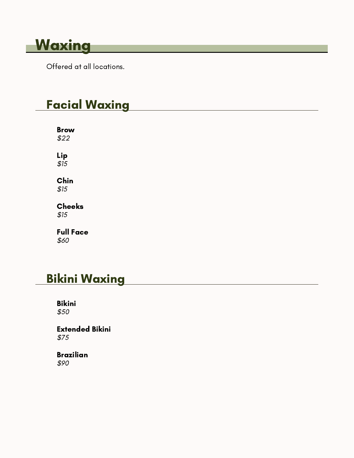# **Waxing**

Offered at all locations.

# Facial Waxing

Brow \$22 Lip  $$15$ Chin \$15 Cheeks \$15

### Full Face

\$60

### Bikini Waxing

Bikini \$50

Extended Bikini \$75

Brazilian \$90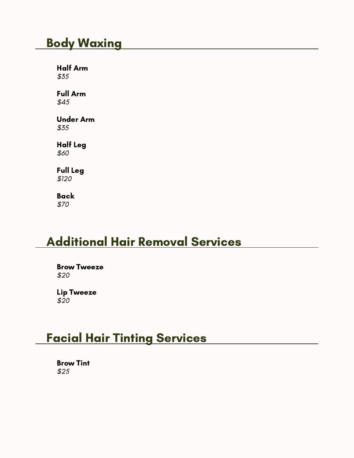### Body Waxing

Half Arm \$35

Full Arm \$45

Under Arm \$35

Half Leg \$60

Full Leg \$120

Back \$70

### Additional Hair Removal Services

Brow Tweeze \$20

Lip Tweeze \$20

### Facial Hair Tinting Services

Brow Tint \$25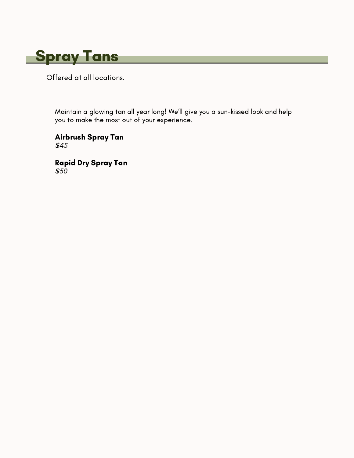

Offered at all locations.

Maintain a glowing tan all year long! We'll give you a sun-kissed look and help you to make the most out of your experience.

Airbrush Spray Tan \$45

Rapid Dry Spray Tan \$50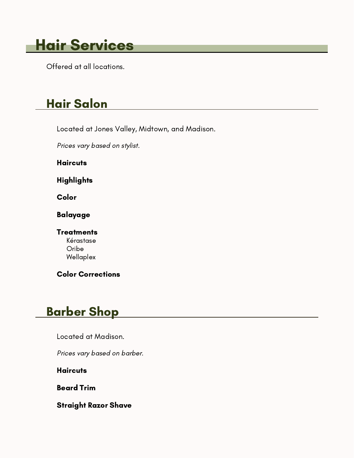# Hair Services

Offered at all locations.

# Hair Salon

Located at Jones Valley, Midtown, and Madison.

Prices vary based on stylist.

**Haircuts** 

**Highlights** 

Color

Balayage

**Treatments** Kérastase Oribe Wellaplex

Color Corrections

# Barber Shop

Located at Madison.

Prices vary based on barber.

**Haircuts** 

Beard Trim

Straight Razor Shave